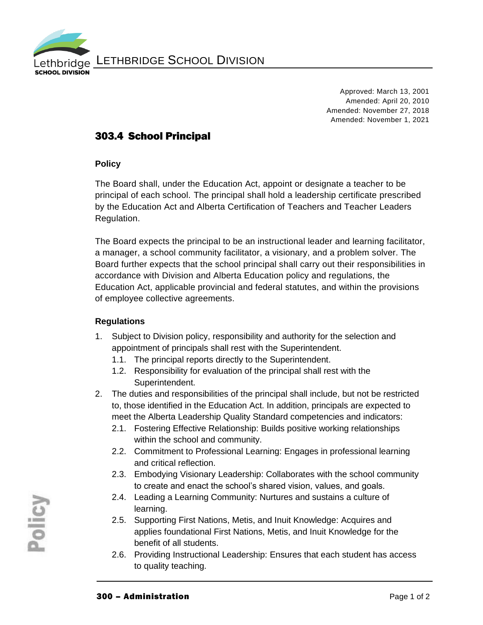

Approved: March 13, 2001 Amended: April 20, 2010 Amended: November 27, 2018 Amended: November 1, 2021

## 303.4 School Principal

## **Policy**

The Board shall, under the Education Act, appoint or designate a teacher to be principal of each school. The principal shall hold a leadership certificate prescribed by the Education Act and Alberta Certification of Teachers and Teacher Leaders Regulation.

The Board expects the principal to be an instructional leader and learning facilitator, a manager, a school community facilitator, a visionary, and a problem solver. The Board further expects that the school principal shall carry out their responsibilities in accordance with Division and Alberta Education policy and regulations, the Education Act, applicable provincial and federal statutes, and within the provisions of employee collective agreements.

## **Regulations**

- 1. Subject to Division policy, responsibility and authority for the selection and appointment of principals shall rest with the Superintendent.
	- 1.1. The principal reports directly to the Superintendent.
	- 1.2. Responsibility for evaluation of the principal shall rest with the Superintendent.
- 2. The duties and responsibilities of the principal shall include, but not be restricted to, those identified in the Education Act. In addition, principals are expected to meet the Alberta Leadership Quality Standard competencies and indicators:
	- 2.1. Fostering Effective Relationship: Builds positive working relationships within the school and community.
	- 2.2. Commitment to Professional Learning: Engages in professional learning and critical reflection.
	- 2.3. Embodying Visionary Leadership: Collaborates with the school community to create and enact the school's shared vision, values, and goals.
	- 2.4. Leading a Learning Community: Nurtures and sustains a culture of learning.
	- 2.5. Supporting First Nations, Metis, and Inuit Knowledge: Acquires and applies foundational First Nations, Metis, and Inuit Knowledge for the benefit of all students.
	- 2.6. Providing Instructional Leadership: Ensures that each student has access to quality teaching.